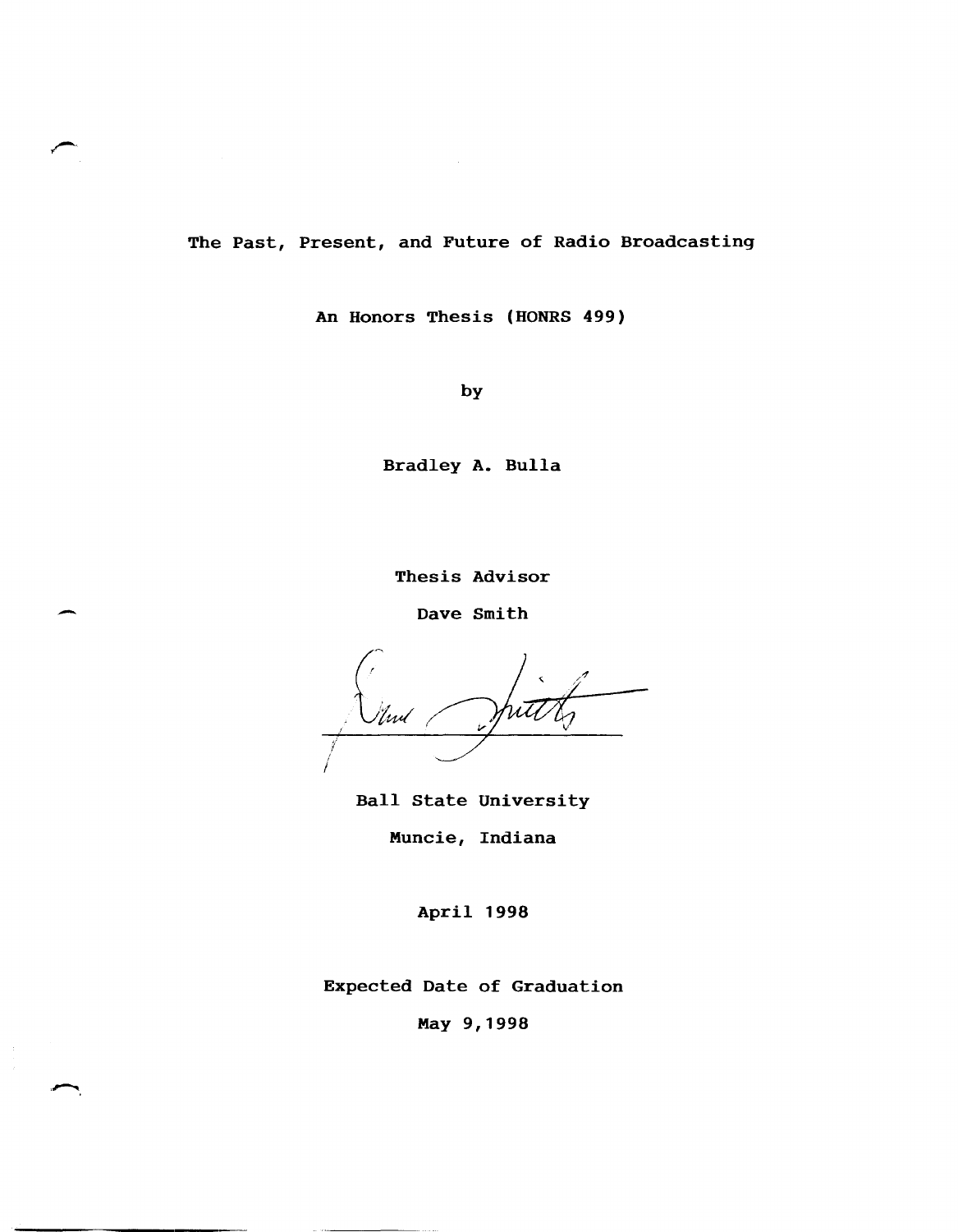The Past, Present, and Future of Radio Broadcasting

 $\sim$   $\sim$ 

An Honors Thesis (HONRS 499)

by

Bradley A. Bulla

Thesis Advisor

Dave Smith

-

'lwl !

Ball State University Muncie, Indiana

April 1998

Expected Date of Graduation

May 9,1998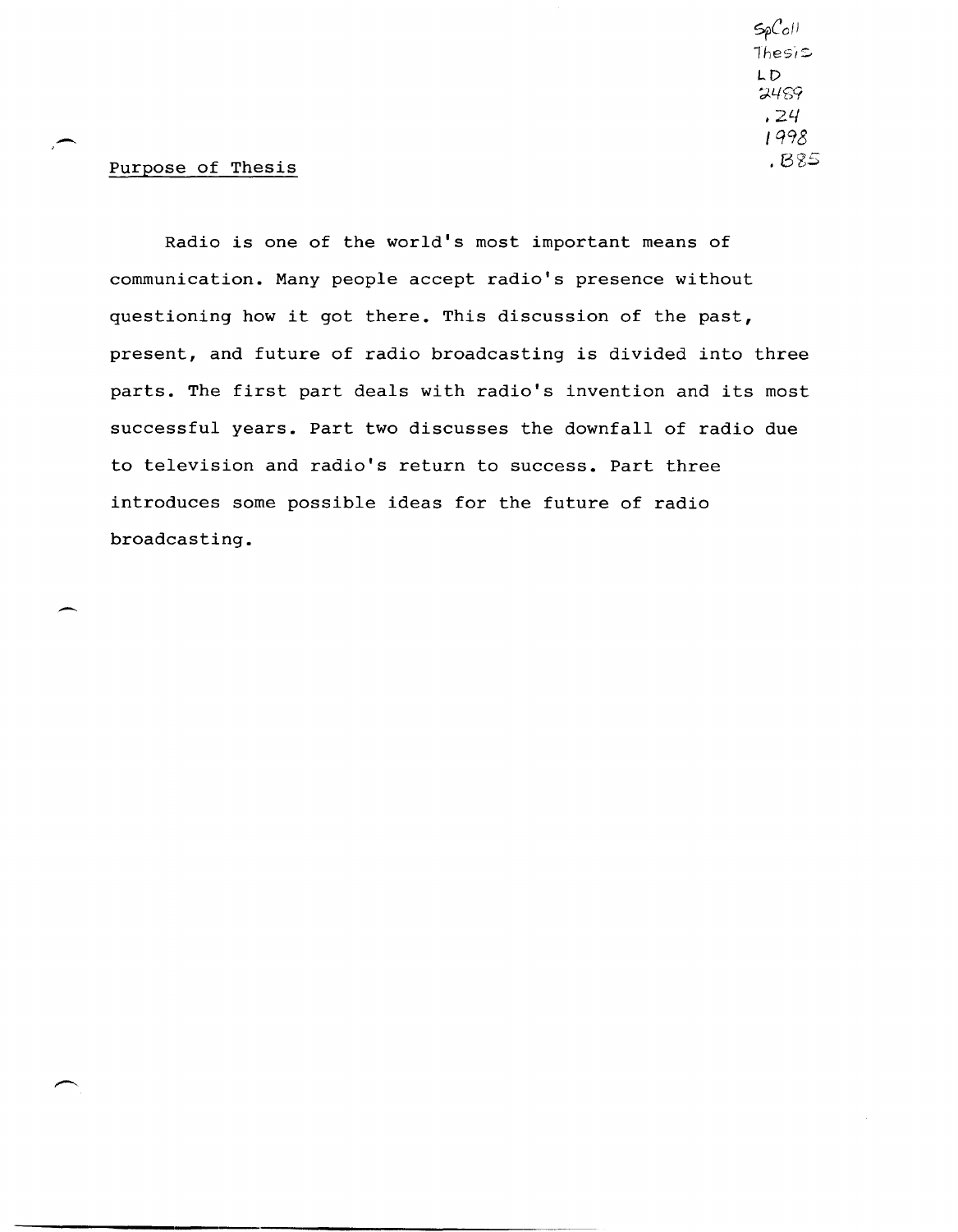*sr*Co11  $The$ si $\simeq$ LD  $7489$ *.2*L/ I *q98*  .8<65

# Purpose of Thesis

 $\overline{\phantom{0}}$ 

-

Radio is one of the world's most important means of communication. Many people accept radio's presence without questioning how it got there. This discussion of the past, present, and future of radio broadcasting is divided into three parts. The first part deals with radio's invention and its most successful years. Part two discusses the downfall of radio due to television and radio's return to success. Part three introduces some possible ideas for the future of radio broadcasting.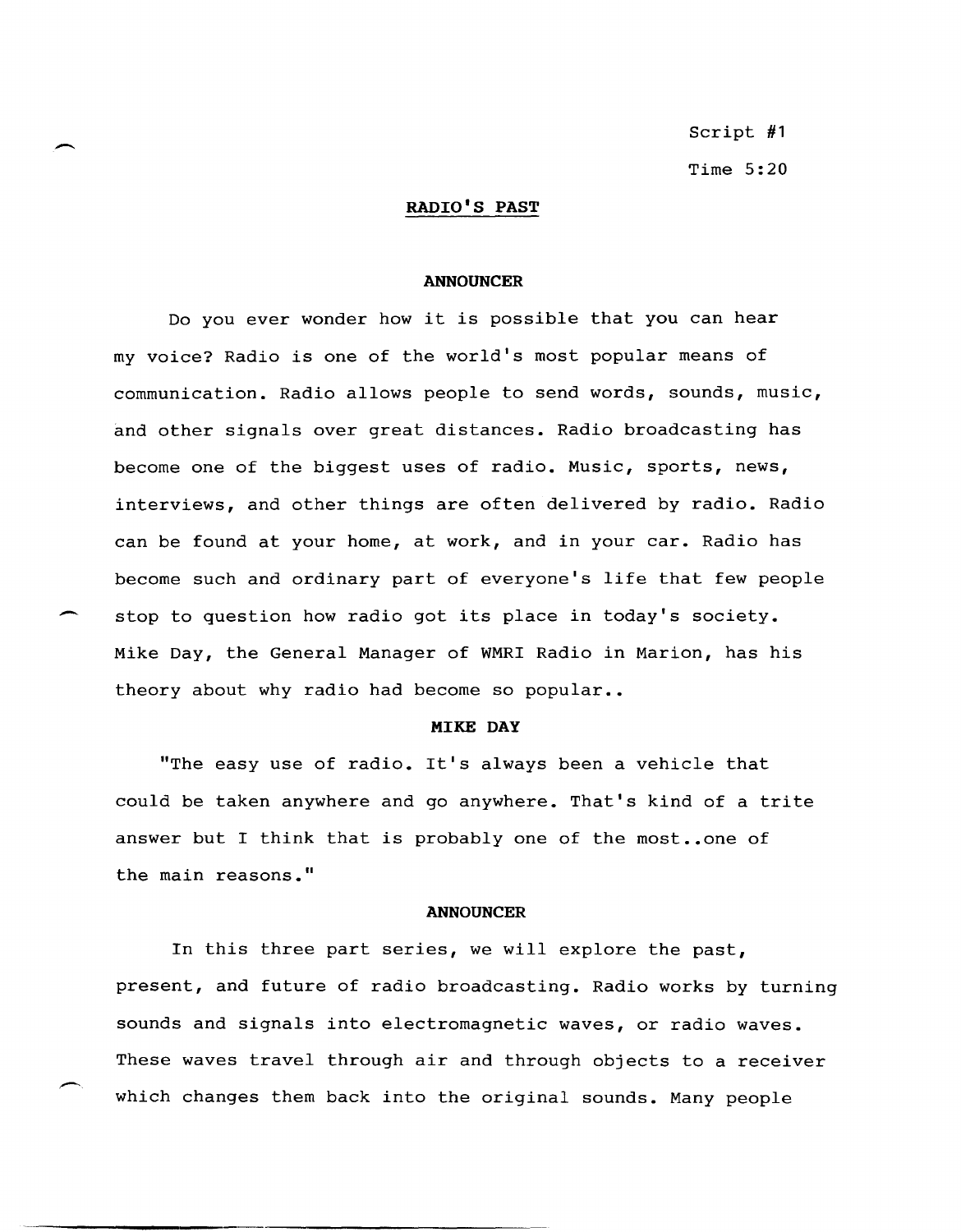Script #1 Time 5:20

# RADIO'S PAST

 $\overline{\phantom{0}}$ 

 $\overline{\phantom{0}}$ 

#### ANNOUNCER

Do you ever wonder how it is possible that you can hear my voice? Radio is one of the world's most popular means of communication. Radio allows people to send words, sounds, music, and other signals over great distances. Radio broadcasting has become one of the biggest uses of radio. Music, sports, news, interviews, and other things are often delivered by radio. Radio can be found at your home, at work, and in your car. Radio has become such and ordinary part of everyone's life that few people stop to question how radio got its place in today's society. Mike Day, the General Manager of WMRI Radio in Marion, has his theory about why radio had become so popular..

#### MIKE DAY

"The easy use of radio. It's always been a vehicle that could be taken anywhere and go anywhere. That's kind of a trite answer but I think that is probably one of the most..one of the main reasons."

#### ANNOUNCER

In this three part series, we will explore the past, present, and future of radio broadcasting. Radio works by turning sounds and signals into electromagnetic waves, or radio waves. These waves travel through air and through objects to a receiver which changes them back into the original sounds. Many people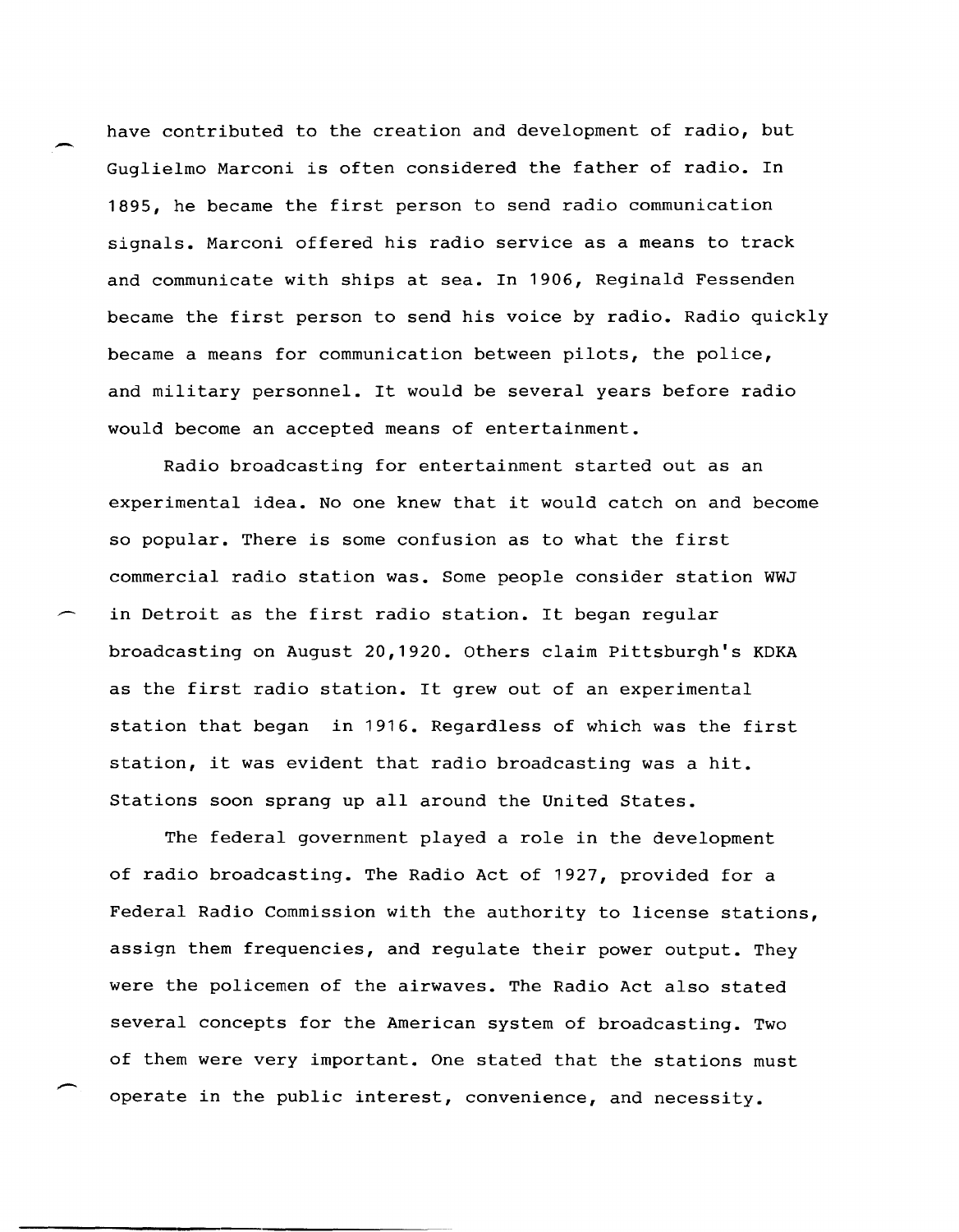have contributed to the creation and development of radio, but Guglielmo Marconi is often considered the father of radio. In 1895, he became the first person to send radio communication signals. Marconi offered his radio service as a means to track and communicate with ships at sea. In 1906, Reginald Fessenden became the first person to send his voice by radio. Radio quickly became a means for communication between pilots, the police, and military personnel. It would be several years before radio would become an accepted means of entertainment.

Radio broadcasting for entertainment started out as an experimental idea. No one knew that it would catch on and become so popular. There is some confusion as to what the first commercial radio station was. Some people consider station WWJ in Detroit as the first radio station. It began regular broadcasting on August 20,1920. Others claim Pittsburgh's KDKA as the first radio station. It grew out of an experimental station that began in 1916. Regardless of which was the first station, it was evident that radio broadcasting was a hit. Stations soon sprang up all around the United States.

The federal government played a role in the development of radio broadcasting. The Radio Act of 1927, provided for a Federal Radio Commission with the authority to license stations, assign them frequencies, and regulate their power output. They were the policemen of the airwaves. The Radio Act also stated several concepts for the American system of broadcasting. Two of them were very important. One stated that the stations must operate in the public interest, convenience, and necessity.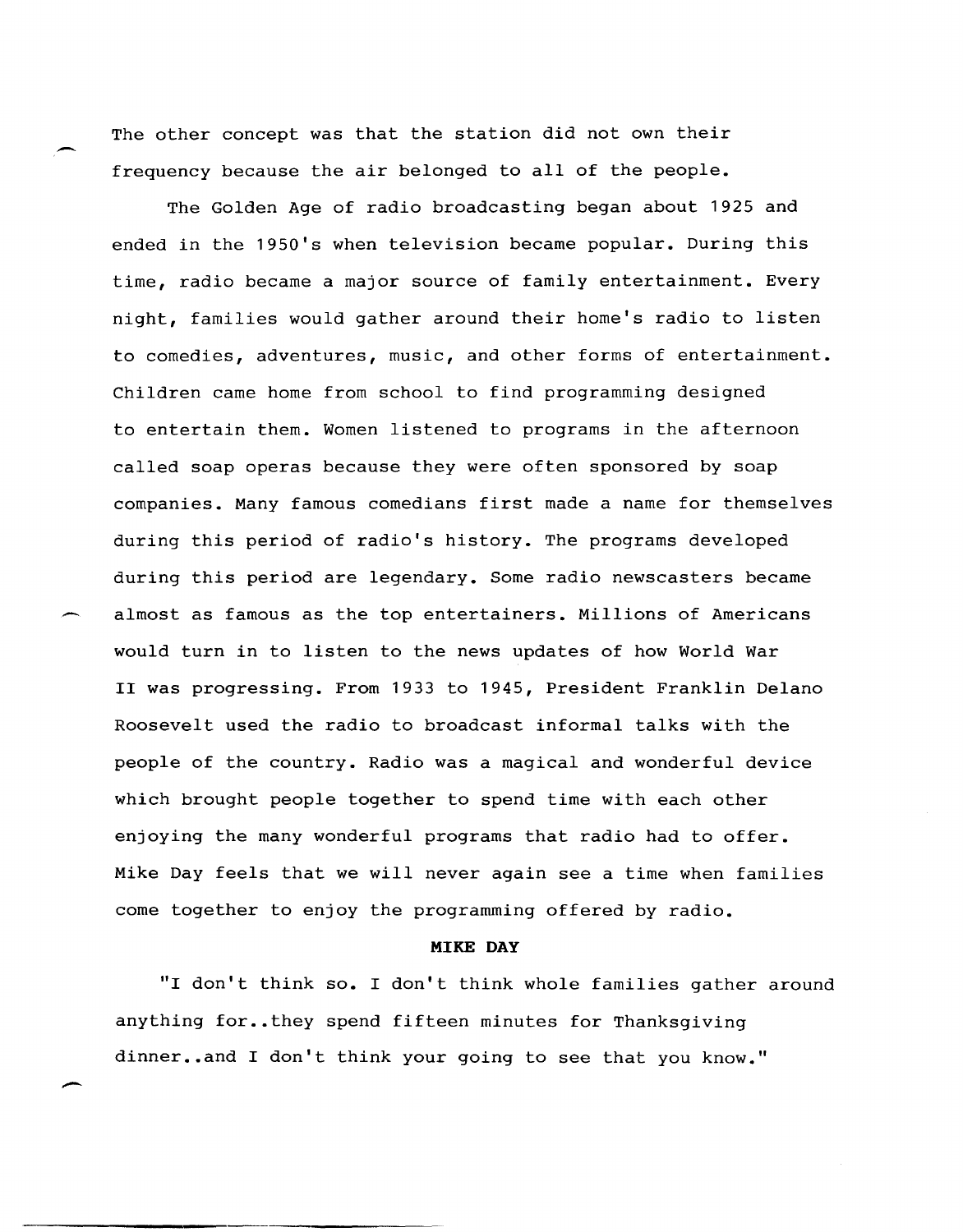The other concept was that the station did not own their frequency because the air belonged to all of the people.

The Golden Age of radio broadcasting began about 1925 and ended in the 1950's when television became popular. During this time, radio became a major source of family entertainment. Every night, families would gather around their home's radio to listen to comedies, adventures, music, and other forms of entertainment. Children came home from school to find programming designed to entertain them. Women listened to programs in the afternoon called soap operas because they were often sponsored by soap companies. Many famous comedians first made a name for themselves during this period of radio's history. The programs developed during this period are legendary. Some radio newscasters became almost as famous as the top entertainers. Millions of Americans would turn in to listen to the news updates of how World War II was progressing. From 1933 to 1945, President Franklin Delano Roosevelt used the radio to broadcast informal talks with the people of the country. Radio was a magical and wonderful device which brought people together to spend time with each other enjoying the many wonderful programs that radio had to offer. Mike Day feels that we will never again see a time when families come together to enjoy the programming offered by radio.

## **MIKE** DAY

"I don't think so. I don't think whole families gather around anything for..they spend fifteen minutes for Thanksgiving dinner..and I don't think your going to see that you know."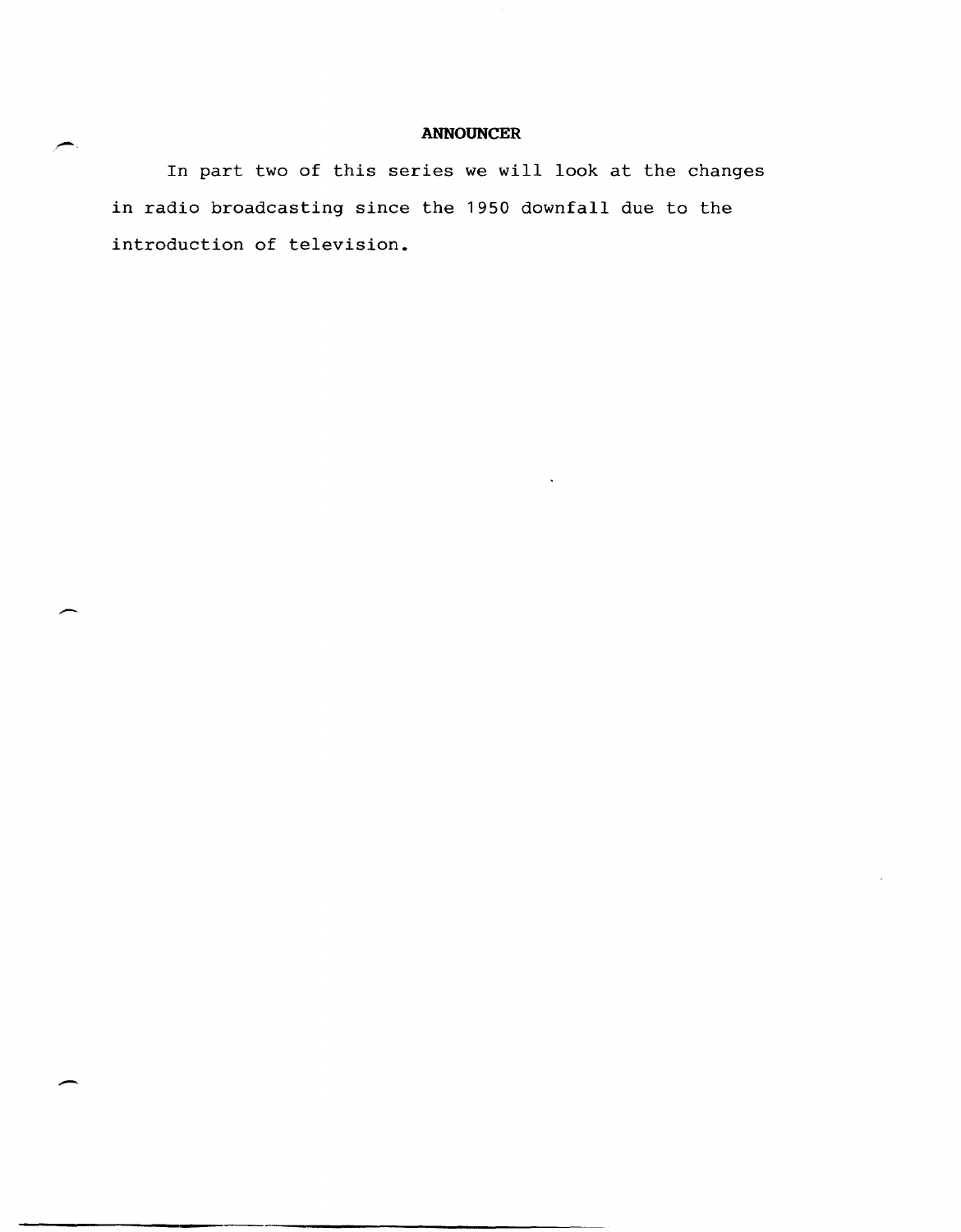# **ANNOUNCER**

In part two of this series we will look at the changes in radio broadcasting since the 1950 downfall due to the introduction of television.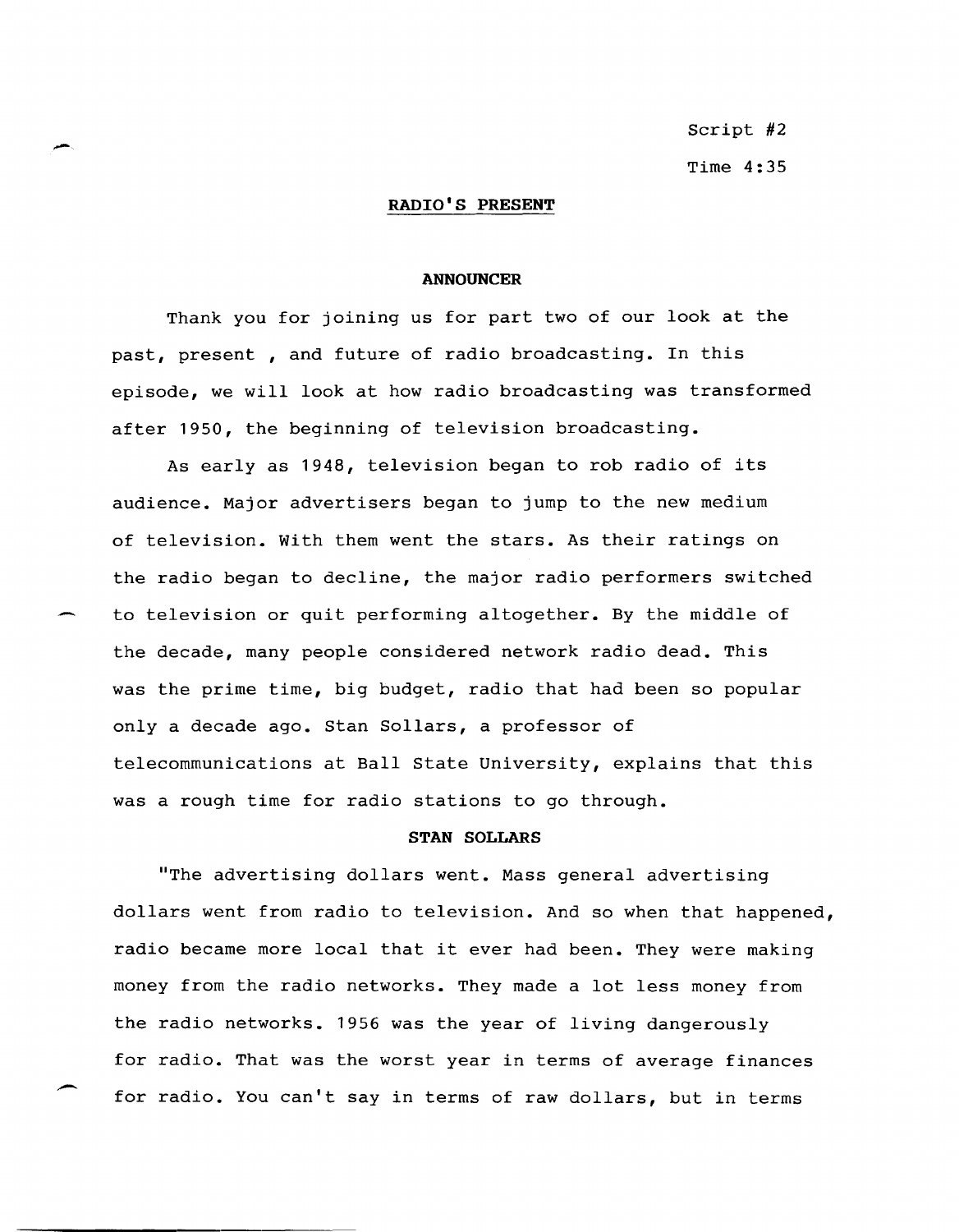Script #2 Time 4:35

**RADIO'S PRESENT** 

-

#### **ANNOUNCER**

Thank you for joining us for part two of our look at the past, present , and future of radio broadcasting. In this episode, we will look at how radio broadcasting was transformed after 1950, the beginning of television broadcasting.

As early as 1948, television began to rob radio of its audience. Major advertisers began to jump to the new medium of television. With them went the stars. As their ratings on the radio began to decline, the major radio performers switched to television or quit performing altogether. By the middle of the decade, many people considered network radio dead. This was the prime time, big budget, radio that had been so popular only a decade ago. Stan Sollars, a professor of telecommunications at Ball state University, explains that this was a rough time for radio stations to go through.

#### **STAN SOLLARS**

"The advertising dollars went. Mass general advertising dollars went from radio to television. And so when that happened, radio became more local that it ever had been. They were making money from the radio networks. They made a lot less money from the radio networks. 1956 was the year of living dangerously for radio. That was the worst year in terms of average finances for radio. You can't say in terms of raw dollars, but in terms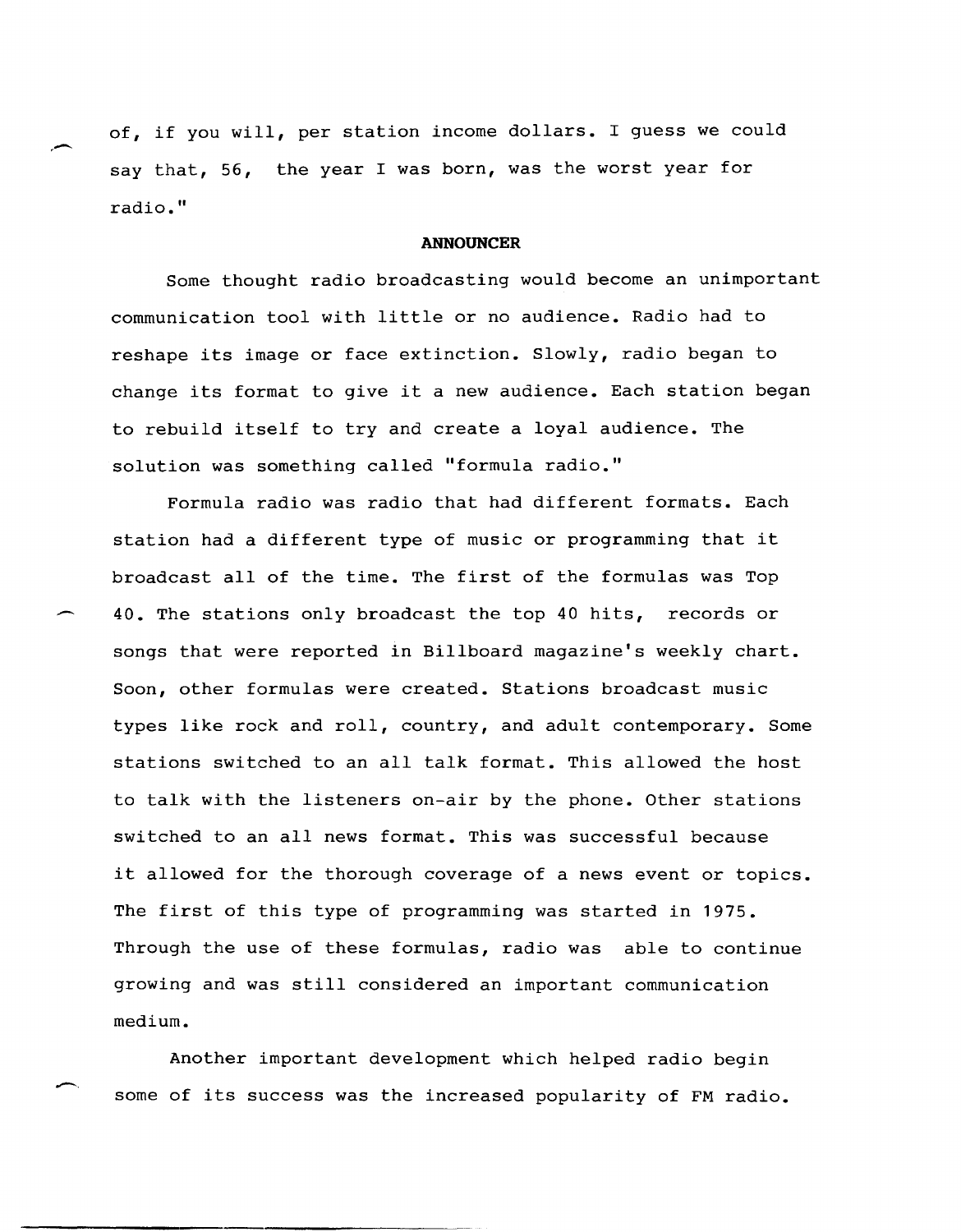of, if you will, per station income dollars. I guess we could say that, 56, the year I was born, was the worst year for radio."

## **ANNOUNCER**

Some thought radio broadcasting would become an unimportant communication tool with little or no audience. Radio had to reshape its image or face extinction. Slowly, radio began to change its format to give it a new audience. Each station began to rebuild itself to try and create a loyal audience. The solution was something called "formula radio."

Formula radio was radio that had different formats. Each station had a different type of music or programming that it broadcast all of the time. The first of the formulas was Top 40. The stations only broadcast the top 40 hits, records or songs that were reported in Billboard magazine's weekly chart. Soon, other formulas were created. Stations broadcast music types like rock and roll, country, and adult contemporary. Some stations switched to an all talk format. This allowed the host to talk with the listeners on-air by the phone. Other stations switched to an all news format. This was successful because it allowed for the thorough coverage of a news event or topics. The first of this type of programming was started in 1975. Through the use of these formulas, radio was able to continue growing and was still considered an important communication medium.

Another important development which helped radio begin some of its success was the increased popularity of FM radio.

-.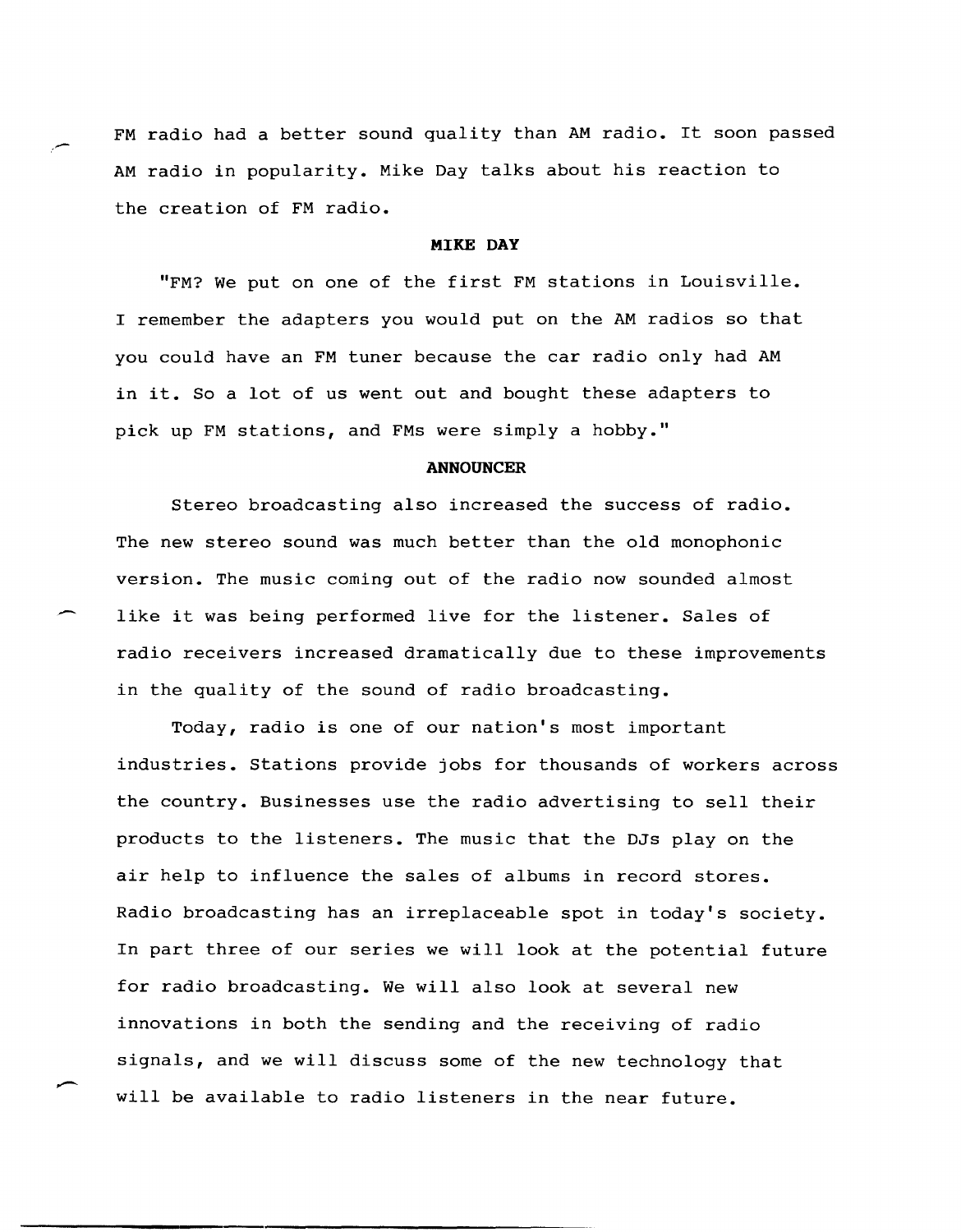FM radio had a better sound quality than AM radio. It soon passed AM radio in popularity. Mike Day talks about his reaction to the creation of FM radio.

:-

--

 $\overline{\phantom{a}}$ 

# **MIKE DAY**

"FM? We put on one of the first FM stations in Louisville. I remember the adapters you would put on the AM radios so that you could have an FM tuner because the car radio only had AM in it. So a lot of us went out and bought these adapters to pick up FM stations, and FMs were simply a hobby."

### **ANNOUNCER**

Stereo broadcasting also increased the success of radio. The new stereo sound was much better than the old monophonic version. The music coming out of the radio now sounded almost like it was being performed live for the listener. Sales of radio receivers increased dramatically due to these improvements in the quality of the sound of radio broadcasting.

Today, radio is one of our nation's most important industries. Stations provide jobs for thousands of workers across the country. Businesses use the radio advertising to sell their products to the listeners. The music that the DJs play on the air help to influence the sales of albums in record stores. Radio broadcasting has an irreplaceable spot in today's society. In part three of our series we will look at the potential future for radio broadcasting. We will also look at several new innovations in both the sending and the receiving of radio signals, and we will discuss some of the new technology that will be available to radio listeners in the near future.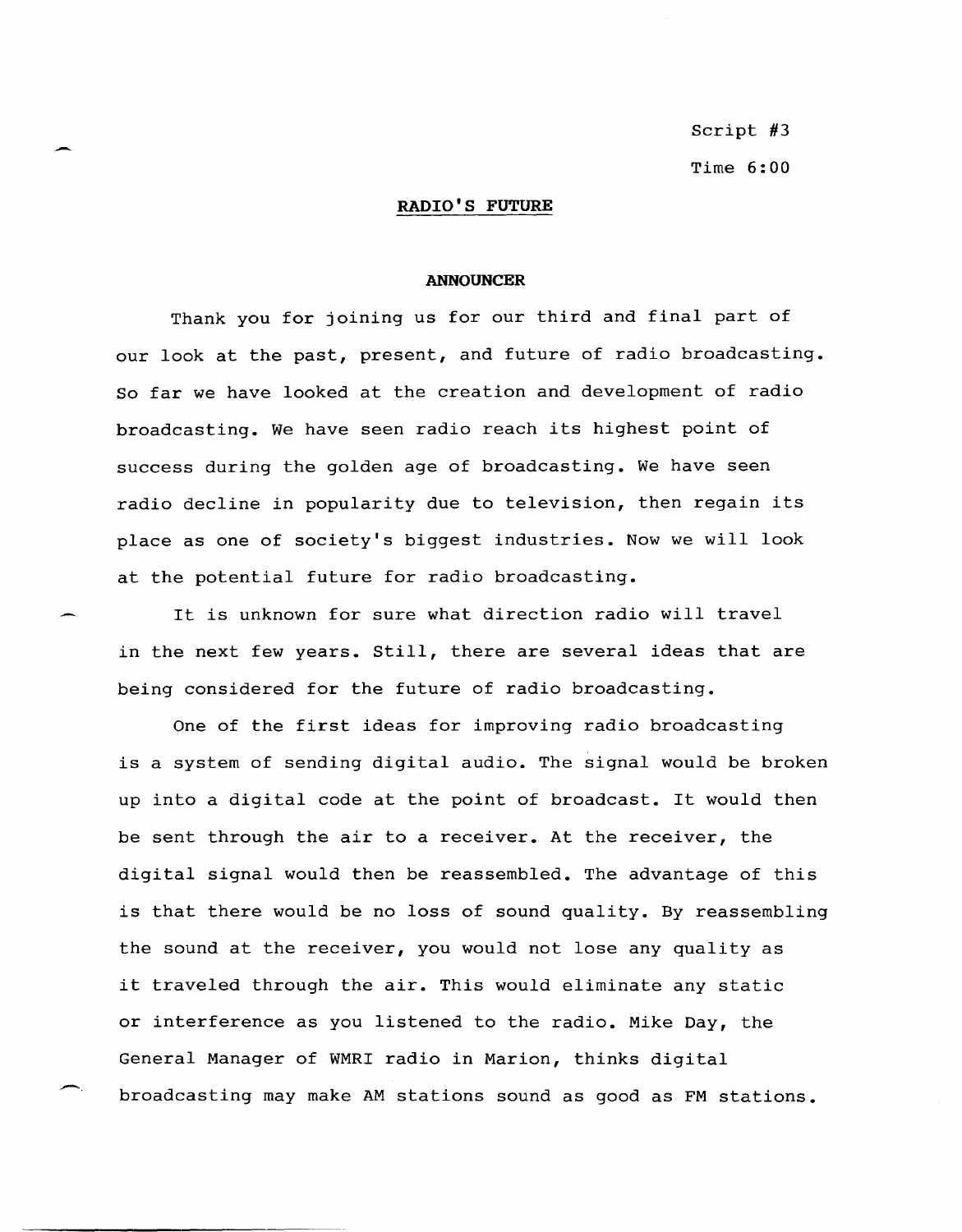Script #3 Time 6:00

## **RADIO I S FUTURE**

#### **ANNOUNCER**

Thank you for joining us for our third and final part of our look at the past, present, and future of radio broadcasting. So far we have looked at the creation and development of radio broadcasting. We have seen radio reach its highest point of success during the golden age of broadcasting. We have seen radio decline in popularity due to television, then regain its place as one of society's biggest industries. Now we will look at the potential future for radio broadcasting.

-.

-

It is unknown for sure what direction radio will travel in the next few years. Still, there are several ideas that are being considered for the future of radio broadcasting.

One of the first ideas for improving radio broadcasting is a system of sending digital audio. The signal would be broken up into a digital code at the point of broadcast. It would then be sent through the air to a receiver. At the receiver, the digital signal would then be reassembled. The advantage of this is that there would be no loss of sound quality. By reassembling the sound at the receiver, you would not lose any quality as it traveled through the air. This would eliminate any static or interference as you listened to the radio. Mike Day, the General Manager of WMRI radio in Marion, thinks digital broadcasting may make AM stations sound as good as FM stations.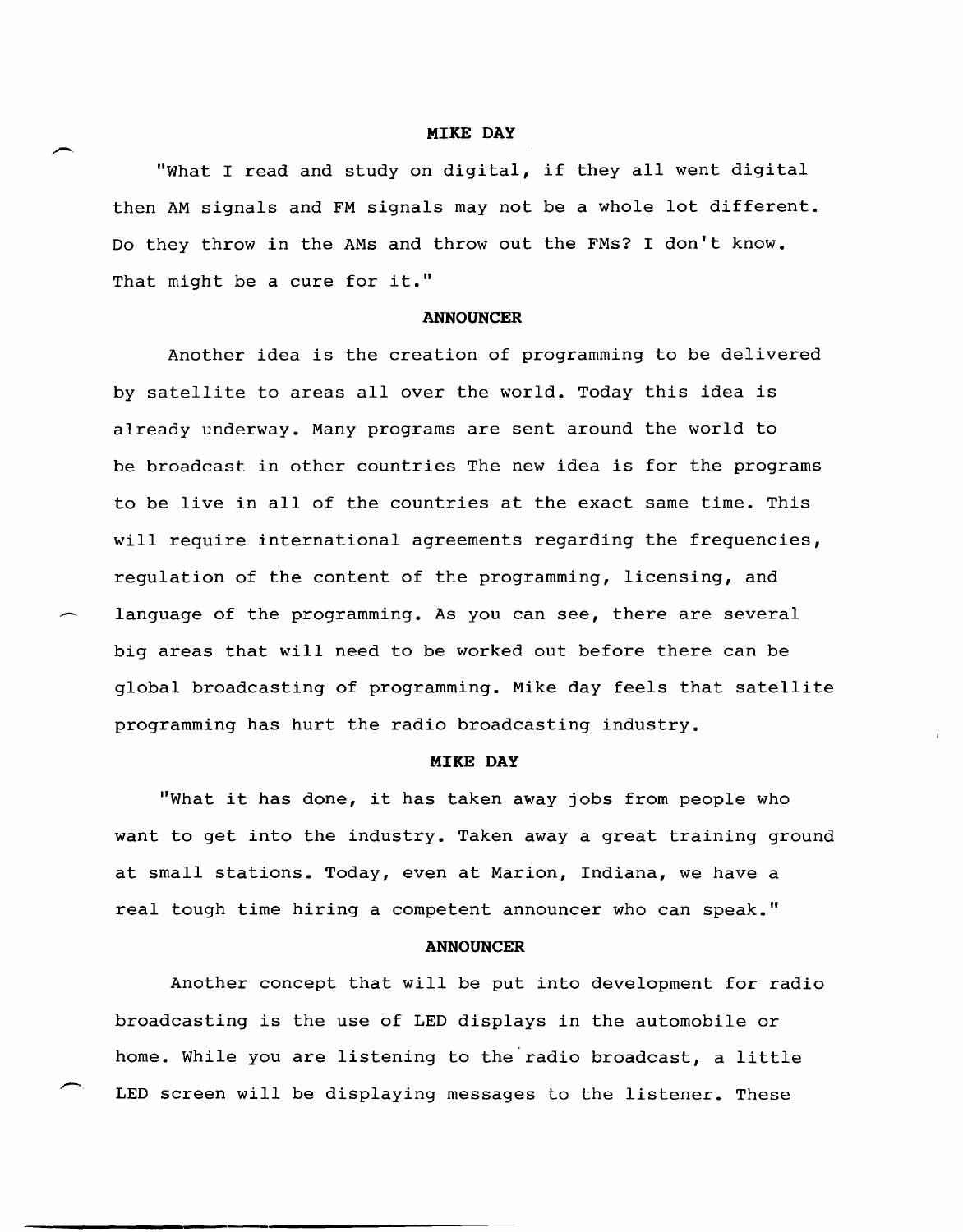#### **MIKE DAY**

"What I read and study on digital, if they all went digital then AM signals and FM signals may not be a whole lot different. Do they throw in the AMs and throw out the FMs? I don't know. That might be a cure for **it."** 

#### **ANNOUNCER**

Another idea is the creation of programming to be delivered by satellite to areas all over the world. Today this idea is already underway. Many programs are sent around the world to be broadcast in other countries The new idea is for the programs to be live in all of the countries at the exact same time. This will require international agreements regarding the frequencies, regulation of the content of the programming, licensing, and language of the programming. As you can see, there are several big areas that will need to be worked out before there can be global broadcasting of programming. Mike day feels that satellite programming has hurt the radio broadcasting industry.

#### **MIKE DAY**

"What it has done, it has taken away jobs from people who want to get into the industry. Taken away a great training ground at small stations. Today, even at Marion, Indiana, we have a real tough time hiring a competent announcer who can speak."

### **ANNOUNCER**

Another concept that will be put into development for radio broadcasting is the use of LED displays in the automobile or home. While you are listening to the radio broadcast, a little LED screen will be displaying messages to the listener. These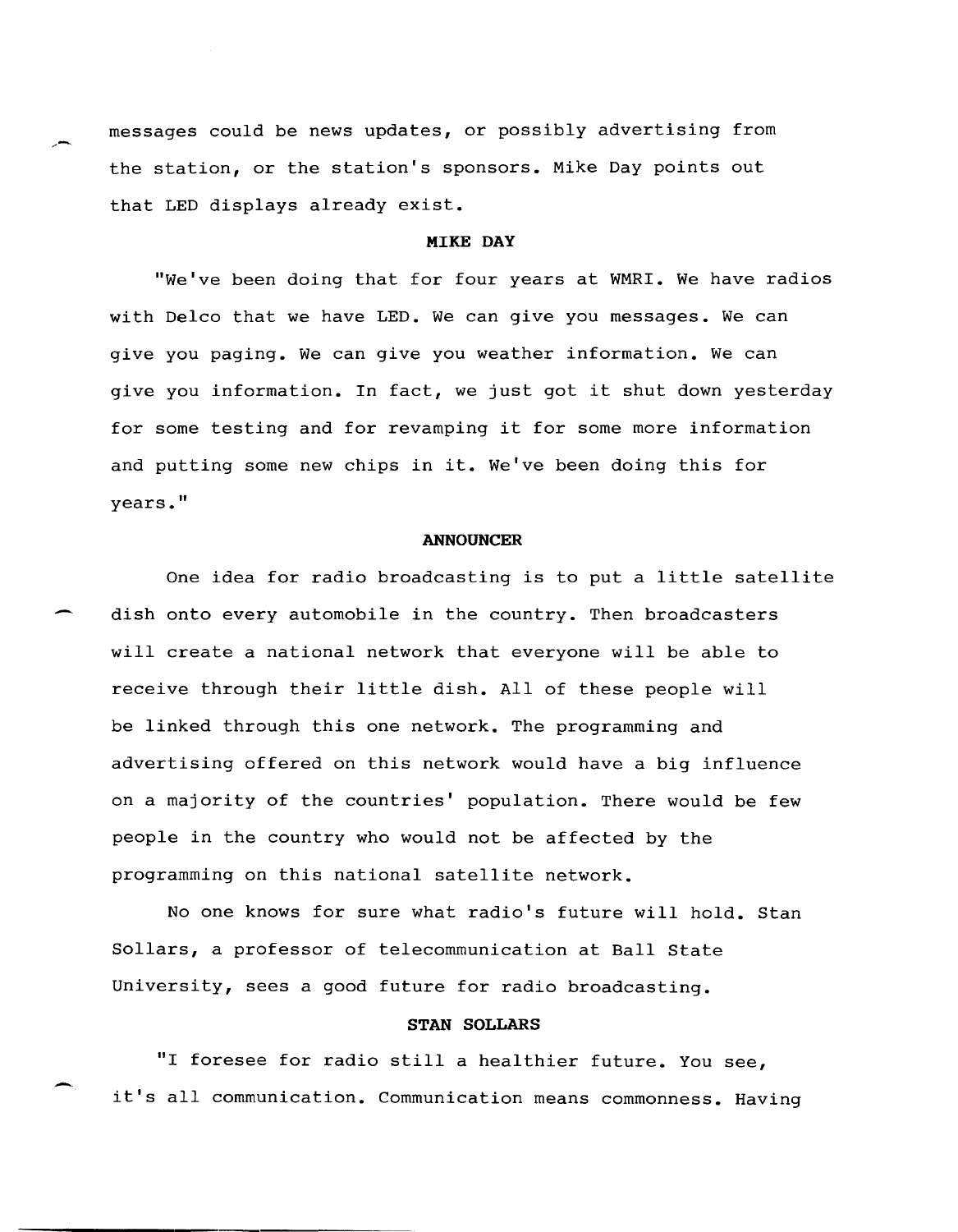messages could be news updates, or possibly advertising from the station, or the station's sponsors. Mike Day points out that LED displays already exist.

# MIKE DAY

"We've been doing that for four years at WMRI. We have radios with Delco that we have LED. We can give you messages. We can give you paging. We can give you weather information. We can give you information. In fact, we just got it shut down yesterday for some testing and for revamping it for some more information and putting some new chips in it. We've been doing this for years."

#### **ANNOUNCER**

One idea for radio broadcasting is to put a little satellite dish onto every automobile in the country. Then broadcasters will create a national network that everyone will be able to receive through their little dish. All of these people will be linked through this one network. The programming and advertising offered on this network would have a big influence on a majority of the countries' population. There would be few people in the country who would not be affected by the programming on this national satellite network.

No one knows for sure what radio's future will hold. stan Sollars, a professor of telecommunication at Ball State University, sees a good future for radio broadcasting.

# STAN SOLLARS

"I foresee for radio still a healthier future. You see, it's all communication. Communication means commonness. Having

-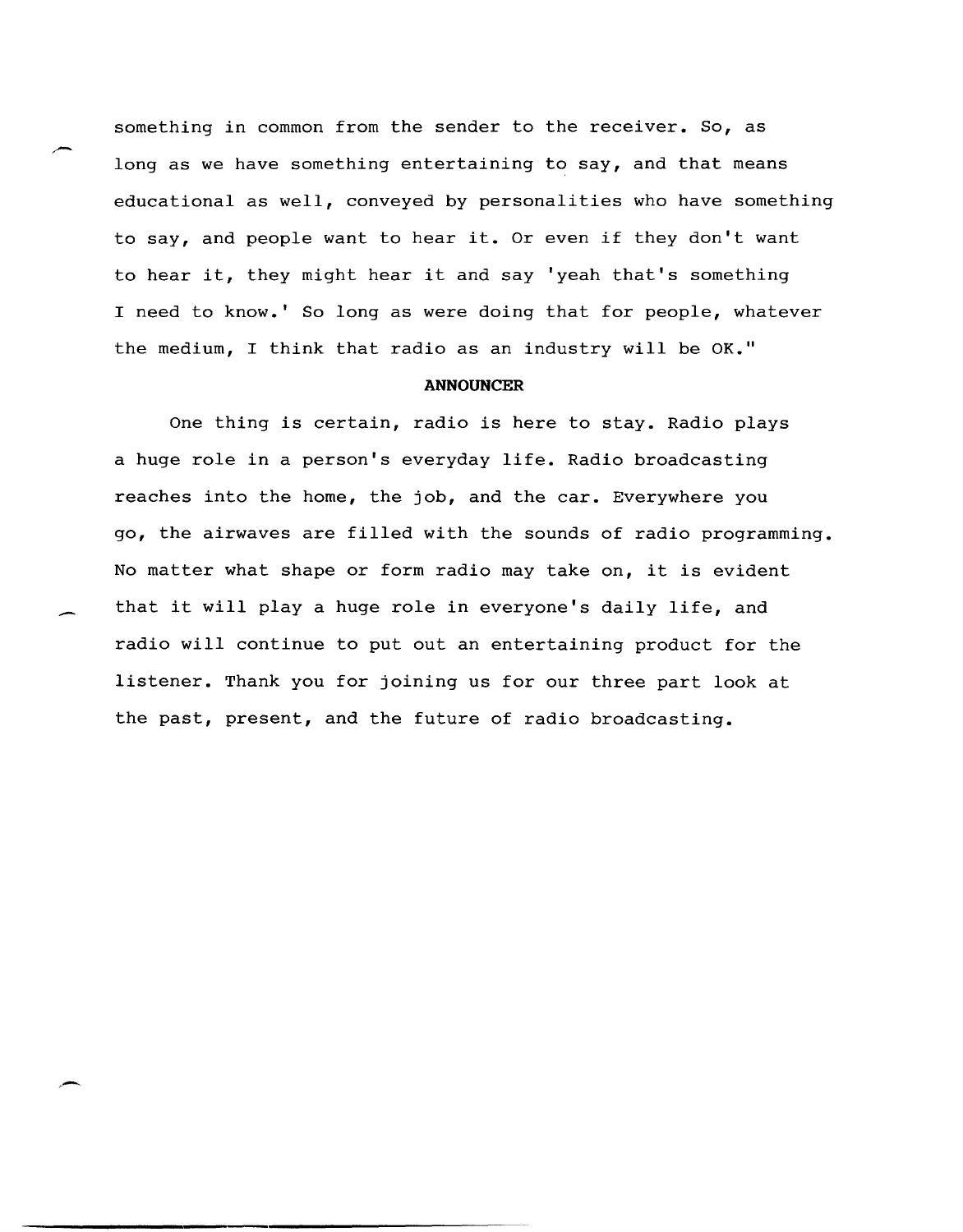something in common from the sender to the receiver. So, as long as we have something entertaining to say, and that means educational as well, conveyed by personalities who have something to say, and people want to hear it. Or even if they don't want to hear it, they might hear it and say 'yeah that's something I need to know.' So long as were doing that for people, whatever the medium, I think that radio as an industry will be  $OK$ ."

#### **ANNOUNCER**

One thing is certain, radio is here to stay. Radio plays a huge role in a person's everyday life. Radio broadcasting reaches into the home, the job, and the car. Everywhere you go, the airwaves are filled with the sounds of radio programming. No matter what shape or form radio may take on, it is evident that it will playa huge role in everyone's daily life, and radio will continue to put out an entertaining product for the listener. Thank you for joining us for our three part look at the past, present, and the future of radio broadcasting.

-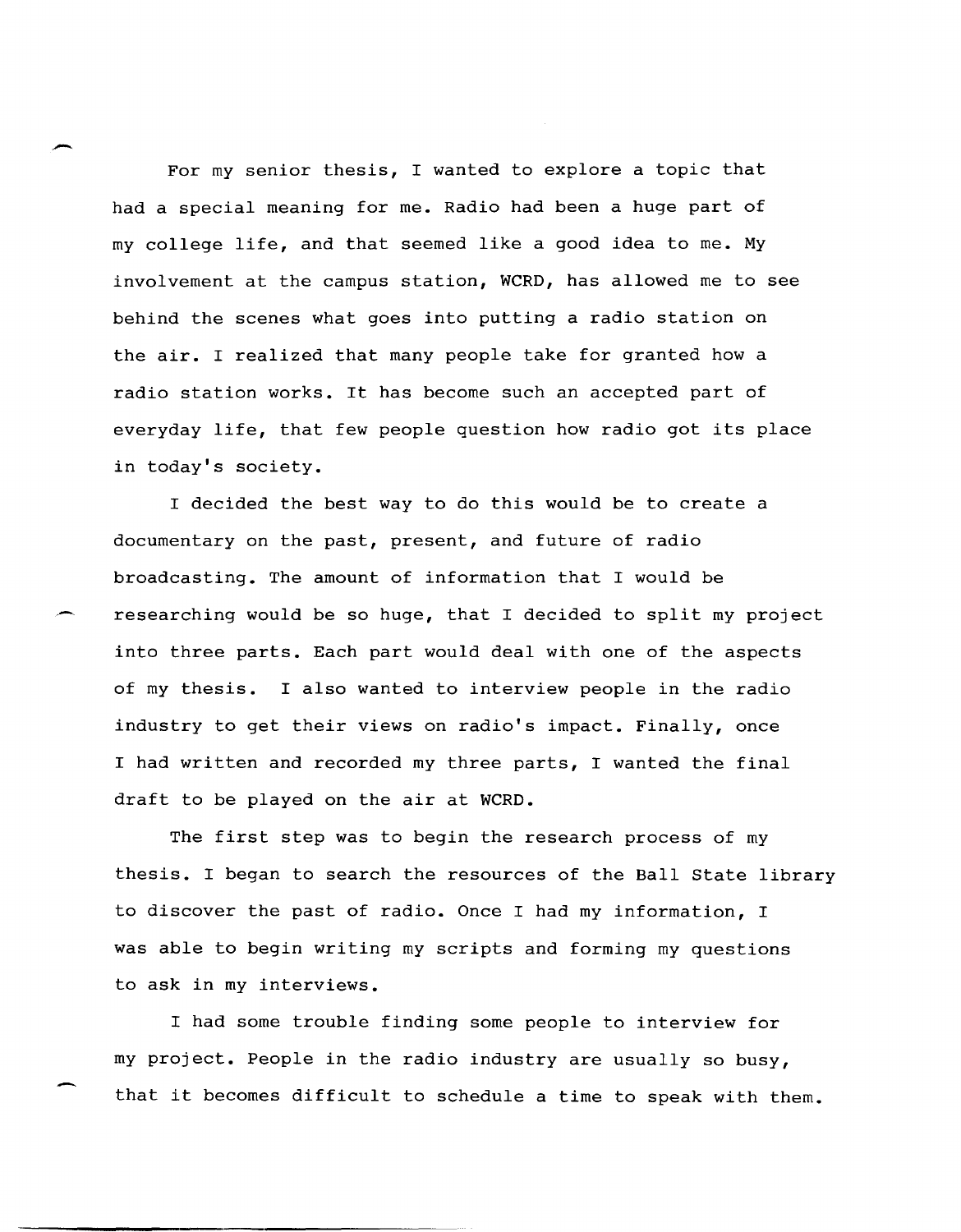For my senior thesis, I wanted to explore a topic that had a special meaning for me. Radio had been a huge part of my college life, and that seemed like a good idea to me. My involvement at the campus station, WCRD, has allowed me to see behind the scenes what goes into putting a radio station on the air. I realized that many people take for granted how a radio station works. It has become such an accepted part of everyday life, that few people question how radio got its place in today's society.

I decided the best way to do this would be to create a documentary on the past, present, and future of radio broadcasting. The amount of information that I would be researching would be so huge, that I decided to split my project into three parts. Each part would deal with one of the aspects of my thesis. I also wanted to interview people in the radio industry to get their views on radio's impact. Finally, once I had written and recorded my three parts, I wanted the final draft to be played on the air at WCRD.

The first step was to begin the research process of my thesis. I began to search the resources of the Ball state library to discover the past of radio. Once I had my information, I was able to begin writing my scripts and forming my questions to ask in my interviews.

I had some trouble finding some people to interview for my project. People in the radio industry are usually so busy, that it becomes difficult to schedule a time to speak with them.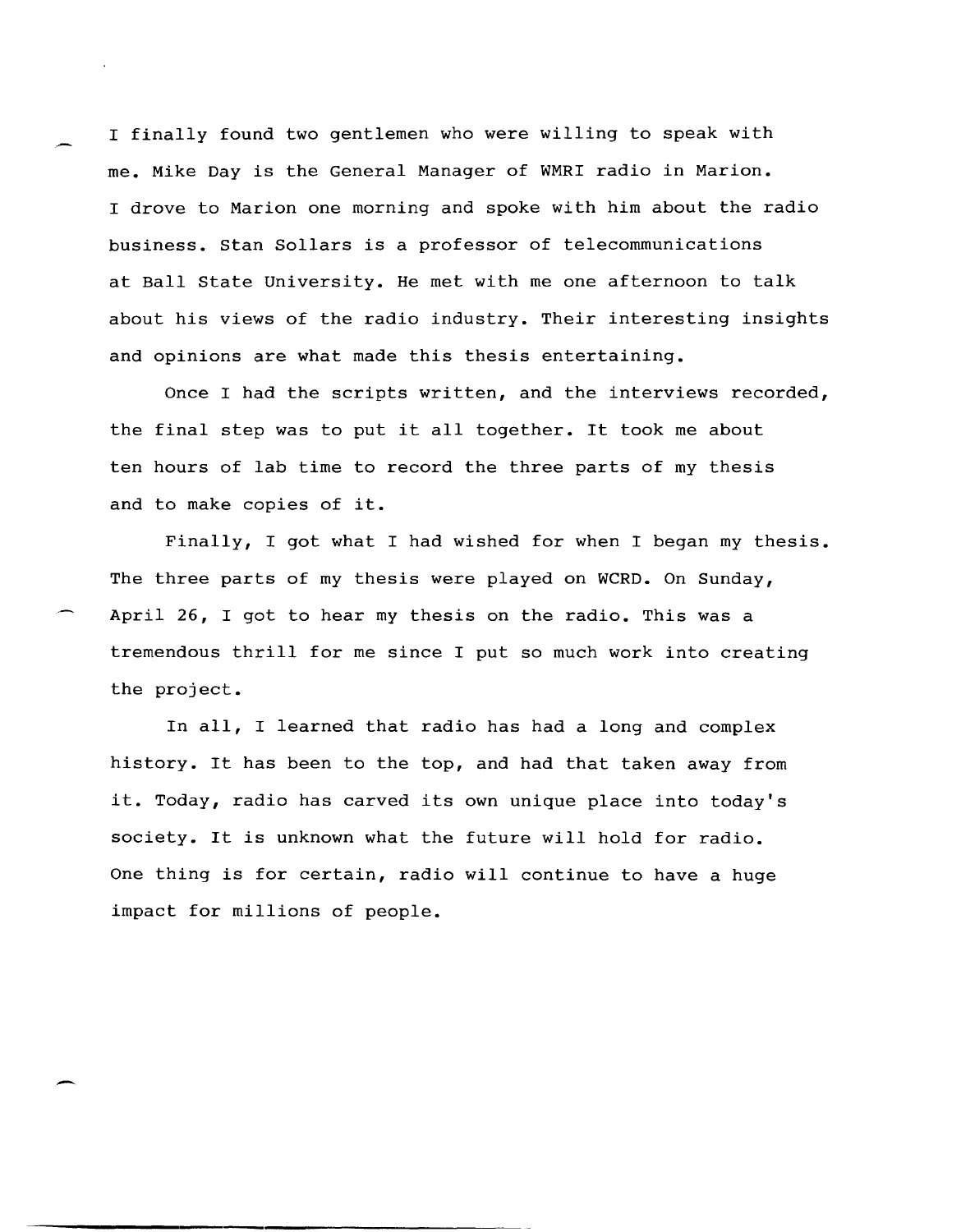I finally found two gentlemen who were willing to speak with me. Mike Day is the General Manager of WMRI radio in Marion. I drove to Marion one morning and spoke with him about the radio business. stan Sollars is a professor of telecommunications at Ball State University. He met with me one afternoon to talk about his views of the radio industry. Their interesting insights and opinions are what made this thesis entertaining.

Once I had the scripts written, and the interviews recorded, the final step was to put it all together. It took me about ten hours of lab time to record the three parts of my thesis and to make copies of it.

Finally, I got what I had wished for when I began my thesis. The three parts of my thesis were played on WCRD. On Sunday, April 26, I got to hear my thesis on the radio. This was a tremendous thrill for me since I put so much work into creating the project.

In all, I learned that radio has had a long and complex history. It has been to the top, and had that taken away from it. Today, radio has carved its own unique place into today's society. It is unknown what the future will hold for radio. One thing is for certain, radio will continue to have a huge impact for millions of people.

---------------------------------------------------